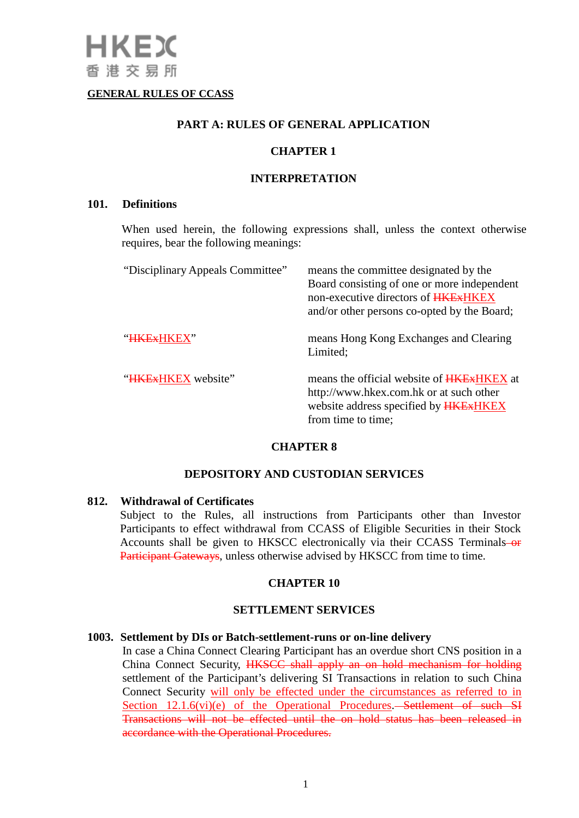### **GENERAL RULES OF CCASS**

### **PART A: RULES OF GENERAL APPLICATION**

### **CHAPTER 1**

#### **INTERPRETATION**

#### **101. Definitions**

When used herein, the following expressions shall, unless the context otherwise requires, bear the following meanings:

| "Disciplinary Appeals Committee" | means the committee designated by the<br>Board consisting of one or more independent<br>non-executive directors of <b>HKE</b> <sub>x</sub> HKE <sub>X</sub><br>and/or other persons co-opted by the Board; |
|----------------------------------|------------------------------------------------------------------------------------------------------------------------------------------------------------------------------------------------------------|
| "HKExHKEX"                       | means Hong Kong Exchanges and Clearing<br>Limited;                                                                                                                                                         |
| "HKEXHKEX website"               | means the official website of <b>HKEXHKEX</b> at<br>http://www.hkex.com.hk or at such other<br>website address specified by <b>HKEXHKEX</b><br>from time to time;                                          |

### **CHAPTER 8**

### **DEPOSITORY AND CUSTODIAN SERVICES**

### **812. Withdrawal of Certificates**

Subject to the Rules, all instructions from Participants other than Investor Participants to effect withdrawal from CCASS of Eligible Securities in their Stock Accounts shall be given to HKSCC electronically via their CCASS Terminals-or Participant Gateways, unless otherwise advised by HKSCC from time to time.

### **CHAPTER 10**

## **SETTLEMENT SERVICES**

### **1003. Settlement by DIs or Batch-settlement-runs or on-line delivery**

In case a China Connect Clearing Participant has an overdue short CNS position in a China Connect Security, HKSCC shall apply an on hold mechanism for holding settlement of the Participant's delivering SI Transactions in relation to such China Connect Security will only be effected under the circumstances as referred to in Section 12.1.6(vi)(e) of the Operational Procedures.—Settlement of such SI Transactions will not be effected until the on hold status has been released in accordance with the Operational Procedures.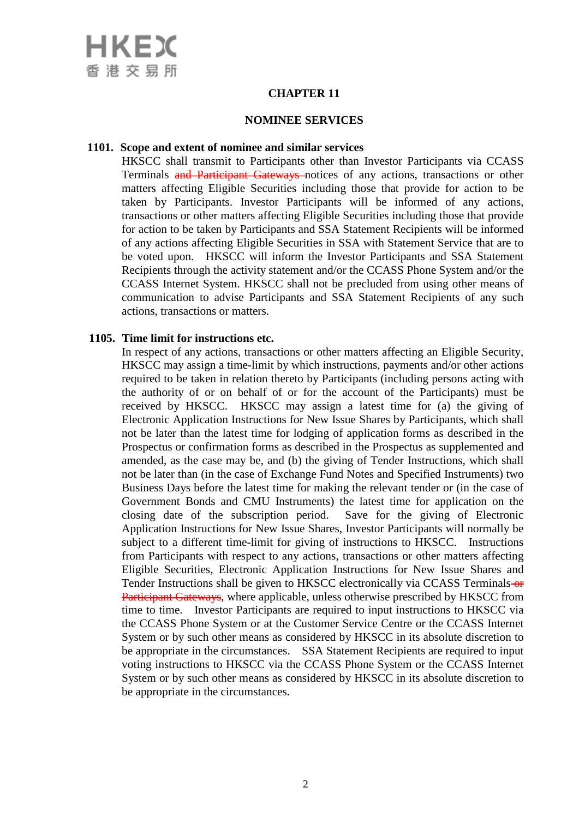

## **CHAPTER 11**

#### **NOMINEE SERVICES**

#### **1101. Scope and extent of nominee and similar services**

HKSCC shall transmit to Participants other than Investor Participants via CCASS Terminals and Participant Gateways notices of any actions, transactions or other matters affecting Eligible Securities including those that provide for action to be taken by Participants. Investor Participants will be informed of any actions, transactions or other matters affecting Eligible Securities including those that provide for action to be taken by Participants and SSA Statement Recipients will be informed of any actions affecting Eligible Securities in SSA with Statement Service that are to be voted upon. HKSCC will inform the Investor Participants and SSA Statement Recipients through the activity statement and/or the CCASS Phone System and/or the CCASS Internet System. HKSCC shall not be precluded from using other means of communication to advise Participants and SSA Statement Recipients of any such actions, transactions or matters.

### **1105. Time limit for instructions etc.**

In respect of any actions, transactions or other matters affecting an Eligible Security, HKSCC may assign a time-limit by which instructions, payments and/or other actions required to be taken in relation thereto by Participants (including persons acting with the authority of or on behalf of or for the account of the Participants) must be received by HKSCC. HKSCC may assign a latest time for (a) the giving of Electronic Application Instructions for New Issue Shares by Participants, which shall not be later than the latest time for lodging of application forms as described in the Prospectus or confirmation forms as described in the Prospectus as supplemented and amended, as the case may be, and (b) the giving of Tender Instructions, which shall not be later than (in the case of Exchange Fund Notes and Specified Instruments) two Business Days before the latest time for making the relevant tender or (in the case of Government Bonds and CMU Instruments) the latest time for application on the closing date of the subscription period. Save for the giving of Electronic Application Instructions for New Issue Shares, Investor Participants will normally be subject to a different time-limit for giving of instructions to HKSCC. Instructions from Participants with respect to any actions, transactions or other matters affecting Eligible Securities, Electronic Application Instructions for New Issue Shares and Tender Instructions shall be given to HKSCC electronically via CCASS Terminals-or Participant Gateways, where applicable, unless otherwise prescribed by HKSCC from time to time. Investor Participants are required to input instructions to HKSCC via the CCASS Phone System or at the Customer Service Centre or the CCASS Internet System or by such other means as considered by HKSCC in its absolute discretion to be appropriate in the circumstances. SSA Statement Recipients are required to input voting instructions to HKSCC via the CCASS Phone System or the CCASS Internet System or by such other means as considered by HKSCC in its absolute discretion to be appropriate in the circumstances.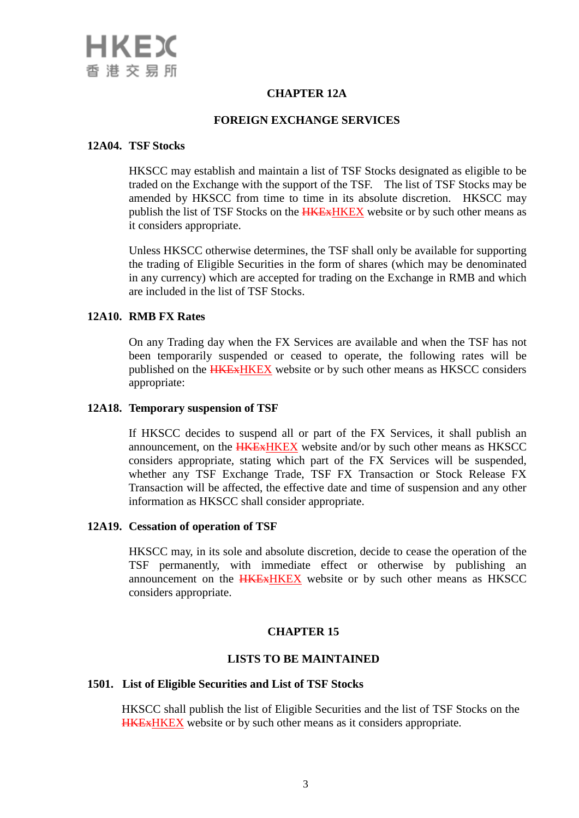

# **CHAPTER 12A**

## **FOREIGN EXCHANGE SERVICES**

#### **12A04. TSF Stocks**

HKSCC may establish and maintain a list of TSF Stocks designated as eligible to be traded on the Exchange with the support of the TSF. The list of TSF Stocks may be amended by HKSCC from time to time in its absolute discretion. HKSCC may publish the list of TSF Stocks on the **HKEXHKEX** website or by such other means as it considers appropriate.

Unless HKSCC otherwise determines, the TSF shall only be available for supporting the trading of Eligible Securities in the form of shares (which may be denominated in any currency) which are accepted for trading on the Exchange in RMB and which are included in the list of TSF Stocks.

### **12A10. RMB FX Rates**

On any Trading day when the FX Services are available and when the TSF has not been temporarily suspended or ceased to operate, the following rates will be published on the **HKEXHKEX** website or by such other means as HKSCC considers appropriate:

### **12A18. Temporary suspension of TSF**

If HKSCC decides to suspend all or part of the FX Services, it shall publish an announcement, on the **HKExHKEX** website and/or by such other means as HKSCC considers appropriate, stating which part of the FX Services will be suspended, whether any TSF Exchange Trade, TSF FX Transaction or Stock Release FX Transaction will be affected, the effective date and time of suspension and any other information as HKSCC shall consider appropriate.

### **12A19. Cessation of operation of TSF**

HKSCC may, in its sole and absolute discretion, decide to cease the operation of the TSF permanently, with immediate effect or otherwise by publishing an announcement on the **HKExHKEX** website or by such other means as HKSCC considers appropriate.

### **CHAPTER 15**

## **LISTS TO BE MAINTAINED**

#### **1501. List of Eligible Securities and List of TSF Stocks**

HKSCC shall publish the list of Eligible Securities and the list of TSF Stocks on the HKExHKEX website or by such other means as it considers appropriate.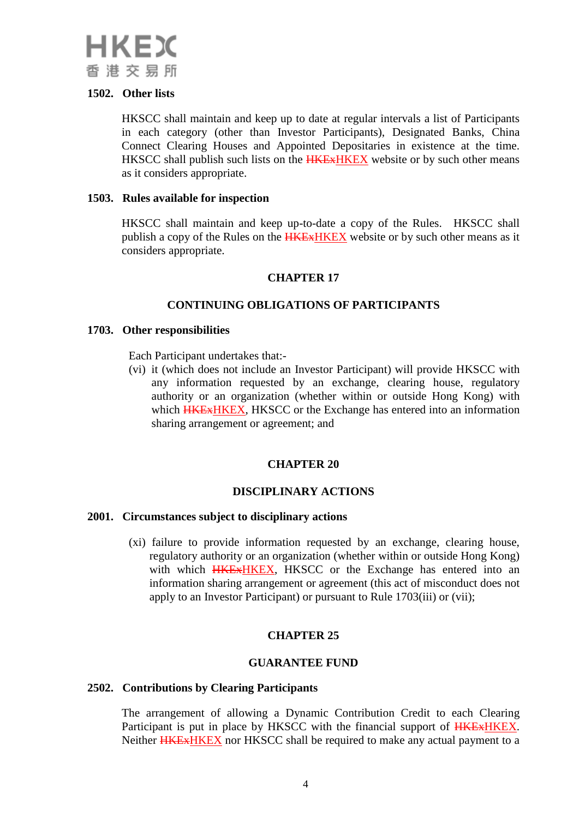

### **1502. Other lists**

HKSCC shall maintain and keep up to date at regular intervals a list of Participants in each category (other than Investor Participants), Designated Banks, China Connect Clearing Houses and Appointed Depositaries in existence at the time. HKSCC shall publish such lists on the **HKEX HKEX** website or by such other means as it considers appropriate.

### **1503. Rules available for inspection**

HKSCC shall maintain and keep up-to-date a copy of the Rules. HKSCC shall publish a copy of the Rules on the **HKEXHKEX** website or by such other means as it considers appropriate.

# **CHAPTER 17**

# **CONTINUING OBLIGATIONS OF PARTICIPANTS**

### **1703. Other responsibilities**

Each Participant undertakes that:-

(vi) it (which does not include an Investor Participant) will provide HKSCC with any information requested by an exchange, clearing house, regulatory authority or an organization (whether within or outside Hong Kong) with which **HKEXHKEX**, HKSCC or the Exchange has entered into an information sharing arrangement or agreement; and

# **CHAPTER 20**

# **DISCIPLINARY ACTIONS**

### **2001. Circumstances subject to disciplinary actions**

(xi) failure to provide information requested by an exchange, clearing house, regulatory authority or an organization (whether within or outside Hong Kong) with which **HKEXHKEX**, HKSCC or the Exchange has entered into an information sharing arrangement or agreement (this act of misconduct does not apply to an Investor Participant) or pursuant to Rule 1703(iii) or (vii);

# **CHAPTER 25**

### **GUARANTEE FUND**

### **2502. Contributions by Clearing Participants**

The arrangement of allowing a Dynamic Contribution Credit to each Clearing Participant is put in place by HKSCC with the financial support of **HKE**xHKEX. Neither **HKEXHKEX** nor HKSCC shall be required to make any actual payment to a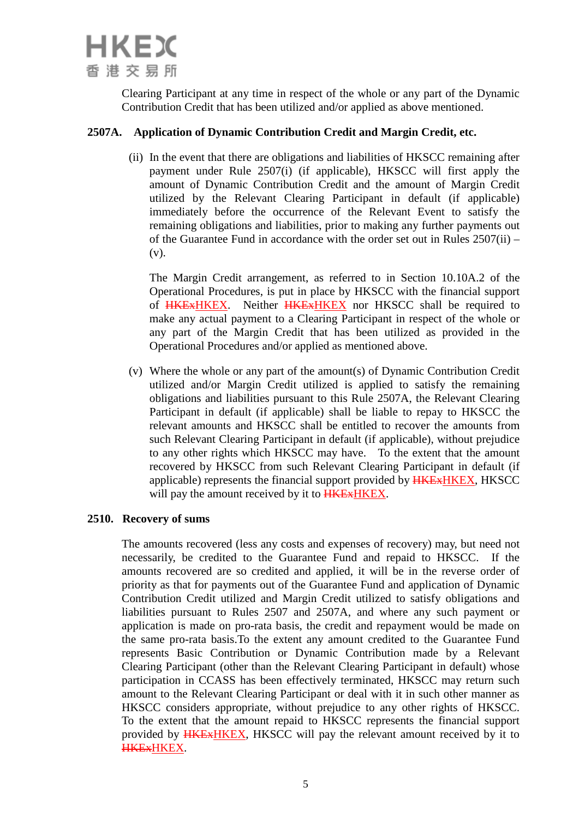

Clearing Participant at any time in respect of the whole or any part of the Dynamic Contribution Credit that has been utilized and/or applied as above mentioned.

## **2507A. Application of Dynamic Contribution Credit and Margin Credit, etc.**

(ii) In the event that there are obligations and liabilities of HKSCC remaining after payment under Rule 2507(i) (if applicable), HKSCC will first apply the amount of Dynamic Contribution Credit and the amount of Margin Credit utilized by the Relevant Clearing Participant in default (if applicable) immediately before the occurrence of the Relevant Event to satisfy the remaining obligations and liabilities, prior to making any further payments out of the Guarantee Fund in accordance with the order set out in Rules 2507(ii) – (v).

The Margin Credit arrangement, as referred to in Section 10.10A.2 of the Operational Procedures, is put in place by HKSCC with the financial support of HKExHKEX. Neither HKExHKEX nor HKSCC shall be required to make any actual payment to a Clearing Participant in respect of the whole or any part of the Margin Credit that has been utilized as provided in the Operational Procedures and/or applied as mentioned above.

(v) Where the whole or any part of the amount(s) of Dynamic Contribution Credit utilized and/or Margin Credit utilized is applied to satisfy the remaining obligations and liabilities pursuant to this Rule 2507A, the Relevant Clearing Participant in default (if applicable) shall be liable to repay to HKSCC the relevant amounts and HKSCC shall be entitled to recover the amounts from such Relevant Clearing Participant in default (if applicable), without prejudice to any other rights which HKSCC may have. To the extent that the amount recovered by HKSCC from such Relevant Clearing Participant in default (if applicable) represents the financial support provided by HKExHKEX, HKSCC will pay the amount received by it to **HKEXHKEX**.

### **2510. Recovery of sums**

The amounts recovered (less any costs and expenses of recovery) may, but need not necessarily, be credited to the Guarantee Fund and repaid to HKSCC. If the amounts recovered are so credited and applied, it will be in the reverse order of priority as that for payments out of the Guarantee Fund and application of Dynamic Contribution Credit utilized and Margin Credit utilized to satisfy obligations and liabilities pursuant to Rules 2507 and 2507A, and where any such payment or application is made on pro-rata basis, the credit and repayment would be made on the same pro-rata basis.To the extent any amount credited to the Guarantee Fund represents Basic Contribution or Dynamic Contribution made by a Relevant Clearing Participant (other than the Relevant Clearing Participant in default) whose participation in CCASS has been effectively terminated, HKSCC may return such amount to the Relevant Clearing Participant or deal with it in such other manner as HKSCC considers appropriate, without prejudice to any other rights of HKSCC. To the extent that the amount repaid to HKSCC represents the financial support provided by **HKEXHKEX**, HKSCC will pay the relevant amount received by it to HKExHKEX.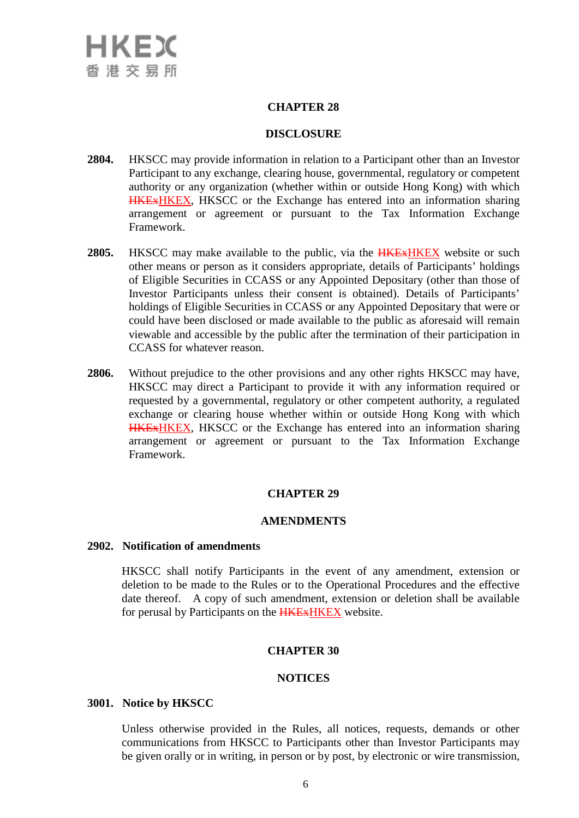## **CHAPTER 28**

### **DISCLOSURE**

- **2804.** HKSCC may provide information in relation to a Participant other than an Investor Participant to any exchange, clearing house, governmental, regulatory or competent authority or any organization (whether within or outside Hong Kong) with which HKExHKEX, HKSCC or the Exchange has entered into an information sharing arrangement or agreement or pursuant to the Tax Information Exchange Framework.
- **2805.** HKSCC may make available to the public, via the **HKEXHKEX** website or such other means or person as it considers appropriate, details of Participants' holdings of Eligible Securities in CCASS or any Appointed Depositary (other than those of Investor Participants unless their consent is obtained). Details of Participants' holdings of Eligible Securities in CCASS or any Appointed Depositary that were or could have been disclosed or made available to the public as aforesaid will remain viewable and accessible by the public after the termination of their participation in CCASS for whatever reason.
- **2806.** Without prejudice to the other provisions and any other rights HKSCC may have, HKSCC may direct a Participant to provide it with any information required or requested by a governmental, regulatory or other competent authority, a regulated exchange or clearing house whether within or outside Hong Kong with which HKExHKEX, HKSCC or the Exchange has entered into an information sharing arrangement or agreement or pursuant to the Tax Information Exchange Framework.

# **CHAPTER 29**

### **AMENDMENTS**

#### **2902. Notification of amendments**

HKSCC shall notify Participants in the event of any amendment, extension or deletion to be made to the Rules or to the Operational Procedures and the effective date thereof. A copy of such amendment, extension or deletion shall be available for perusal by Participants on the **HKEX HKEX** website.

### **CHAPTER 30**

### **NOTICES**

#### **3001. Notice by HKSCC**

Unless otherwise provided in the Rules, all notices, requests, demands or other communications from HKSCC to Participants other than Investor Participants may be given orally or in writing, in person or by post, by electronic or wire transmission,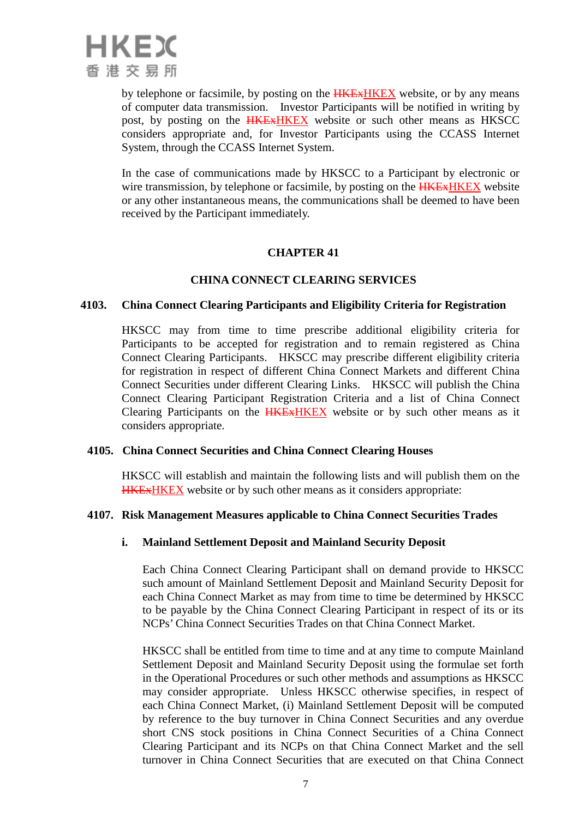

by telephone or facsimile, by posting on the **HKEXHKEX** website, or by any means of computer data transmission. Investor Participants will be notified in writing by post, by posting on the **HKEXHKEX** website or such other means as HKSCC considers appropriate and, for Investor Participants using the CCASS Internet System, through the CCASS Internet System.

In the case of communications made by HKSCC to a Participant by electronic or wire transmission, by telephone or facsimile, by posting on the **HKEXHKEX** website or any other instantaneous means, the communications shall be deemed to have been received by the Participant immediately.

# **CHAPTER 41**

## **CHINA CONNECT CLEARING SERVICES**

#### **4103. China Connect Clearing Participants and Eligibility Criteria for Registration**

HKSCC may from time to time prescribe additional eligibility criteria for Participants to be accepted for registration and to remain registered as China Connect Clearing Participants. HKSCC may prescribe different eligibility criteria for registration in respect of different China Connect Markets and different China Connect Securities under different Clearing Links. HKSCC will publish the China Connect Clearing Participant Registration Criteria and a list of China Connect Clearing Participants on the **HKEXHKEX** website or by such other means as it considers appropriate.

### **4105. China Connect Securities and China Connect Clearing Houses**

HKSCC will establish and maintain the following lists and will publish them on the HKExHKEX website or by such other means as it considers appropriate:

### **4107. Risk Management Measures applicable to China Connect Securities Trades**

### **i. Mainland Settlement Deposit and Mainland Security Deposit**

Each China Connect Clearing Participant shall on demand provide to HKSCC such amount of Mainland Settlement Deposit and Mainland Security Deposit for each China Connect Market as may from time to time be determined by HKSCC to be payable by the China Connect Clearing Participant in respect of its or its NCPs' China Connect Securities Trades on that China Connect Market.

HKSCC shall be entitled from time to time and at any time to compute Mainland Settlement Deposit and Mainland Security Deposit using the formulae set forth in the Operational Procedures or such other methods and assumptions as HKSCC may consider appropriate. Unless HKSCC otherwise specifies, in respect of each China Connect Market, (i) Mainland Settlement Deposit will be computed by reference to the buy turnover in China Connect Securities and any overdue short CNS stock positions in China Connect Securities of a China Connect Clearing Participant and its NCPs on that China Connect Market and the sell turnover in China Connect Securities that are executed on that China Connect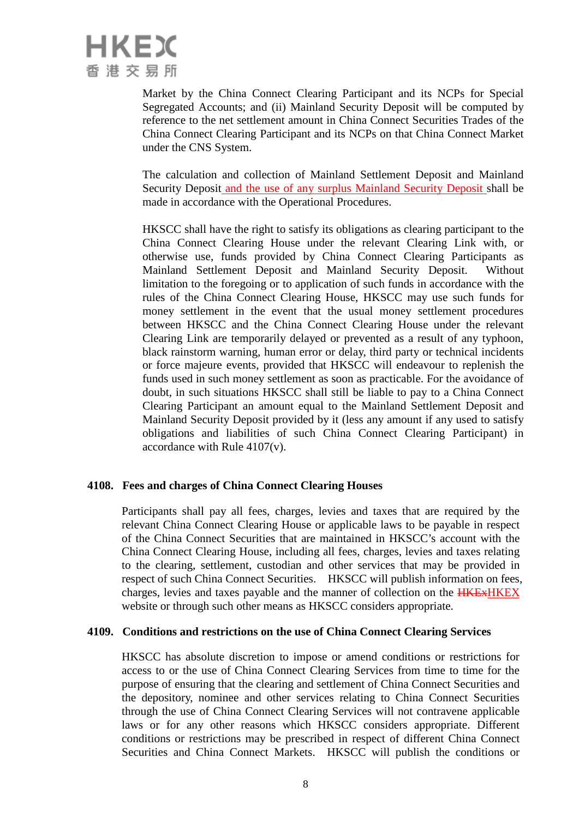

Market by the China Connect Clearing Participant and its NCPs for Special Segregated Accounts; and (ii) Mainland Security Deposit will be computed by reference to the net settlement amount in China Connect Securities Trades of the China Connect Clearing Participant and its NCPs on that China Connect Market under the CNS System.

The calculation and collection of Mainland Settlement Deposit and Mainland Security Deposit and the use of any surplus Mainland Security Deposit shall be made in accordance with the Operational Procedures.

HKSCC shall have the right to satisfy its obligations as clearing participant to the China Connect Clearing House under the relevant Clearing Link with, or otherwise use, funds provided by China Connect Clearing Participants as Mainland Settlement Deposit and Mainland Security Deposit. Without limitation to the foregoing or to application of such funds in accordance with the rules of the China Connect Clearing House, HKSCC may use such funds for money settlement in the event that the usual money settlement procedures between HKSCC and the China Connect Clearing House under the relevant Clearing Link are temporarily delayed or prevented as a result of any typhoon, black rainstorm warning, human error or delay, third party or technical incidents or force majeure events, provided that HKSCC will endeavour to replenish the funds used in such money settlement as soon as practicable. For the avoidance of doubt, in such situations HKSCC shall still be liable to pay to a China Connect Clearing Participant an amount equal to the Mainland Settlement Deposit and Mainland Security Deposit provided by it (less any amount if any used to satisfy obligations and liabilities of such China Connect Clearing Participant) in accordance with Rule 4107(v).

### **4108. Fees and charges of China Connect Clearing Houses**

Participants shall pay all fees, charges, levies and taxes that are required by the relevant China Connect Clearing House or applicable laws to be payable in respect of the China Connect Securities that are maintained in HKSCC's account with the China Connect Clearing House, including all fees, charges, levies and taxes relating to the clearing, settlement, custodian and other services that may be provided in respect of such China Connect Securities. HKSCC will publish information on fees, charges, levies and taxes payable and the manner of collection on the **HKEXHKEX** website or through such other means as HKSCC considers appropriate.

#### **4109. Conditions and restrictions on the use of China Connect Clearing Services**

HKSCC has absolute discretion to impose or amend conditions or restrictions for access to or the use of China Connect Clearing Services from time to time for the purpose of ensuring that the clearing and settlement of China Connect Securities and the depository, nominee and other services relating to China Connect Securities through the use of China Connect Clearing Services will not contravene applicable laws or for any other reasons which HKSCC considers appropriate. Different conditions or restrictions may be prescribed in respect of different China Connect Securities and China Connect Markets. HKSCC will publish the conditions or